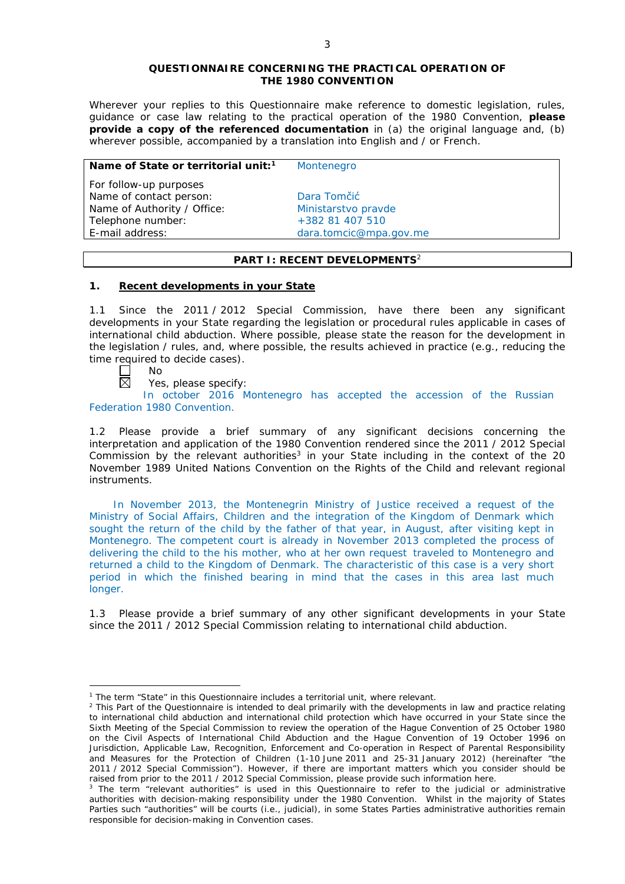#### **QUESTIONNAIRE CONCERNING THE PRACTICAL OPERATION OF THE 1980 CONVENTION**

*Wherever your replies to this Questionnaire make reference to domestic legislation, rules, guidance or case law relating to the practical operation of the 1980 Convention, please provide a copy of the referenced documentation in (a) the original language and, (b) wherever possible, accompanied by a translation into English and / or French.* 

#### **Name of State or territorial unit:<sup>1</sup> Montenegro**

*For follow-up purposes* Name of contact person: Dara Tomčić Name of Authority / Office: Ministarstvo pravde Telephone number:  $+38281407510$ E-mail address: dara.tomcic@mpa.gov.me

## **PART I: RECENT DEVELOPMENTS**<sup>2</sup>

### **1. Recent developments in your State**

1.1 Since the 2011 / 2012 Special Commission, have there been any significant developments in your State regarding the legislation or procedural rules applicable in cases of international child abduction. Where possible, please state the reason for the development in the legislation / rules, and, where possible, the results achieved in practice (*e.g.*, reducing the time required to decide cases).

No 岗

<u>.</u>

Yes, please specify:

In october 2016 Montenegro has accepted the accession of the Russian Federation 1980 Convention.

1.2 Please provide a brief summary of any significant decisions concerning the interpretation and application of the 1980 Convention rendered since the 2011 / 2012 Special Commission by the relevant authorities<sup>3</sup> in your State including in the context of the 20 November 1989 United Nations Convention on the Rights of the Child and relevant regional instruments.

In November 2013, the Montenegrin Ministry of Justice received a request of the Ministry of Social Affairs, Children and the integration of the Kingdom of Denmark which sought the return of the child by the father of that year, in August, after visiting kept in Montenegro. The competent court is already in November 2013 completed the process of delivering the child to the his mother, who at her own request traveled to Montenegro and returned a child to the Kingdom of Denmark. The characteristic of this case is a very short period in which the finished bearing in mind that the cases in this area last much longer.

1.3 Please provide a brief summary of any other significant developments in your State since the 2011 / 2012 Special Commission relating to international child abduction.

<sup>&</sup>lt;sup>1</sup> The term "State" in this Questionnaire includes a territorial unit, where relevant.

 $<sup>2</sup>$  This Part of the Questionnaire is intended to deal primarily with the developments in law and practice relating</sup> to international child abduction and international child protection which have occurred in your State since the Sixth Meeting of the Special Commission to review the operation of the *Hague Convention of 25 October 1980 on the Civil Aspects of International Child Abduction* and the *Hague Convention of 19 October 1996 on Jurisdiction, Applicable Law, Recognition, Enforcement and Co-operation in Respect of Parental Responsibility and Measures for the Protection of Children* (1-10 June 2011 and 25-31 January 2012) (hereinafter "the 2011 / 2012 Special Commission"). However, if there are important matters which you consider should be raised from *prior to* the 2011 / 2012 Special Commission, please provide such information here.

<sup>&</sup>lt;sup>3</sup> The term "relevant authorities" is used in this Questionnaire to refer to the judicial or administrative authorities with decision-making responsibility under the 1980 Convention. Whilst in the majority of States Parties such "authorities" will be courts (*i.e.*, judicial), in some States Parties administrative authorities remain responsible for decision-making in Convention cases.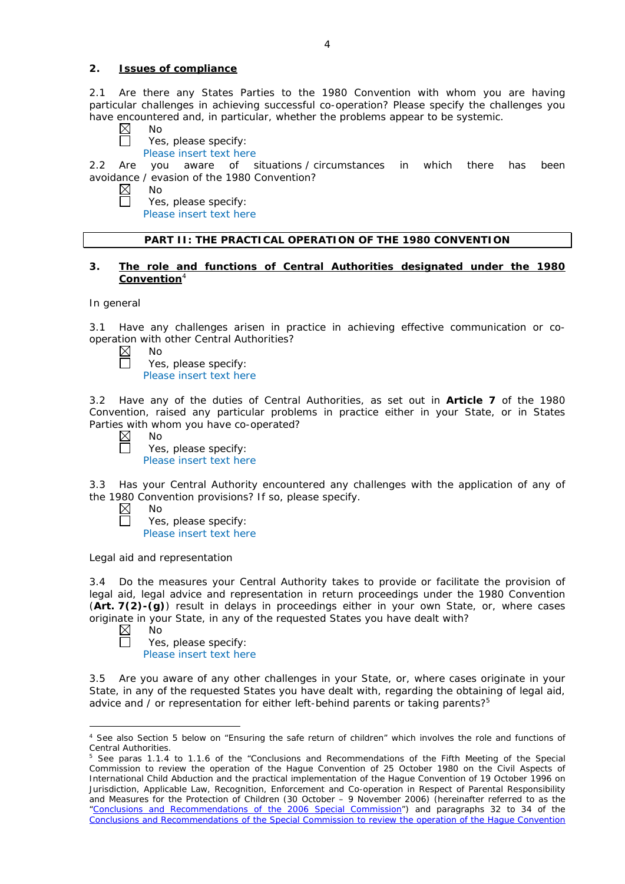#### **2. Issues of compliance**

2.1 Are there any States Parties to the 1980 Convention with whom you are having particular challenges in achieving successful co-operation? Please specify the challenges you have encountered and, in particular, whether the problems appear to be systemic.

- $\boxtimes$ No
	- Yes, please specify:

Please insert text here

2.2 Are you aware of situations / circumstances in which there has been avoidance / evasion of the 1980 Convention?

- $\boxtimes$ No
	- Yes, please specify:

Please insert text here

## **PART II: THE PRACTICAL OPERATION OF THE 1980 CONVENTION**

### **3. The role and functions of Central Authorities designated under the 1980 Convention**<sup>4</sup>

*In general*

3.1 Have any challenges arisen in practice in achieving effective communication or cooperation with other Central Authorities?

 $\boxtimes$ No  $\Box$ 

Yes, please specify: Please insert text here

3.2 Have any of the duties of Central Authorities, as set out in **Article 7** of the 1980 Convention, raised any particular problems in practice either in your State, or in States Parties with whom you have co-operated?

 $\boxtimes$ No

 $\Box$ 

Yes, please specify: Please insert text here

3.3 Has your Central Authority encountered any challenges with the application of any of the 1980 Convention provisions? If so, please specify.

- $\boxtimes$ No  $\Box$ 
	- Yes, please specify: Please insert text here

*Legal aid and representation*

3.4 Do the measures your Central Authority takes to provide or facilitate the provision of legal aid, legal advice and representation in return proceedings under the 1980 Convention (**Art. 7(2)-(g)**) result in delays in proceedings either in your own State, or, where cases originate in your State, in any of the requested States you have dealt with?

 $\boxtimes$ No

П

<u>.</u>

Yes, please specify: Please insert text here

3.5 Are you aware of any other challenges in your State, or, where cases originate in your State, in any of the requested States you have dealt with, regarding the obtaining of legal aid, advice and / or representation for either left-behind parents or taking parents?<sup>5</sup>

<sup>4</sup> See also Section 5 below on "Ensuring the safe return of children" which involves the role and functions of Central Authorities.

<sup>&</sup>lt;sup>5</sup> See paras 1.1.4 to 1.1.6 of the "Conclusions and Recommendations of the Fifth Meeting of the Special Commission to review the operation of the *Hague Convention of 25 October 1980 on the Civil Aspects of International Child Abduction* and the practical implementation of the *Hague Convention of 19 October 1996 on Jurisdiction, Applicable Law, Recognition, Enforcement and Co-operation in Respect of Parental Responsibility and Measures for the Protection of Children* (30 October – 9 November 2006) (hereinafter referred to as the ["Conclusions and Recommendations of the 2006 Special Commission"](https://assets.hcch.net/upload/concl28sc5_e.pdf)) and paragraphs 32 to 34 of the [Conclusions and Recommendations of the Special Commission](https://assets.hcch.net/upload/wop/concl28sc6_e.pdf) to review the operation of the Hague Convention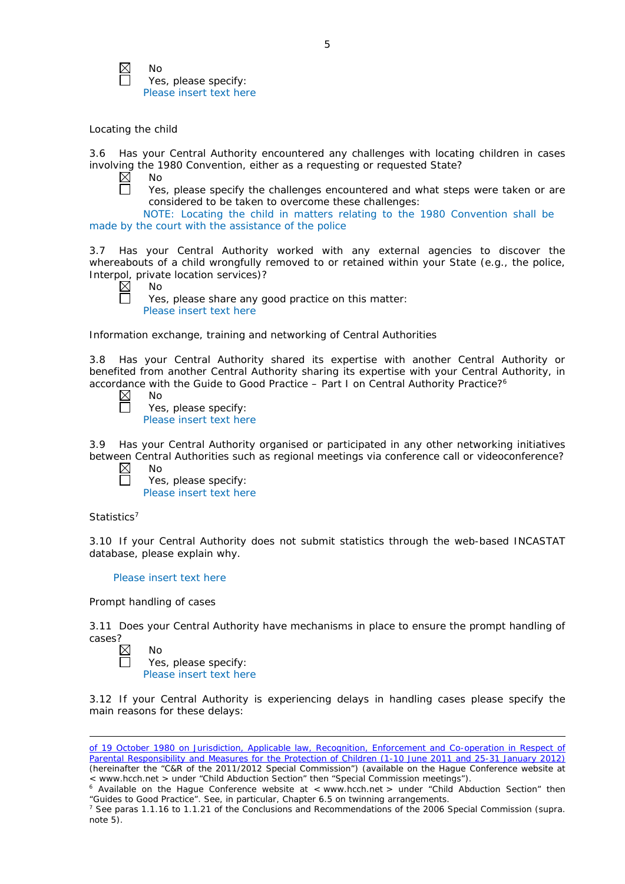

No Yes, please specify: Please insert text here

## *Locating the child*

3.6 Has your Central Authority encountered any challenges with locating children in cases involving the 1980 Convention, either as a requesting or requested State?<br>  $\boxtimes$  No

 $\Box$ 

No

Yes, please specify the challenges encountered and what steps were taken or are considered to be taken to overcome these challenges:

NOTE: Locating the child in matters relating to the 1980 Convention shall be made by the court with the assistance of the police

3.7 Has your Central Authority worked with any external agencies to discover the whereabouts of a child wrongfully removed to or retained within your State (*e.g.*, the police, Interpol, private location services)?

No Yes, please share any good practice on this matter: Please insert text here

*Information exchange, training and networking of Central Authorities*

3.8 Has your Central Authority shared its expertise with another Central Authority or benefited from another Central Authority sharing its expertise with your Central Authority, in accordance with the Guide to Good Practice - Part I on Central Authority Practice?<sup>6</sup>

No Yes, please specify: Please insert text here

3.9 Has your Central Authority organised or participated in any other networking initiatives between Central Authorities such as regional meetings via conference call or videoconference?

Yes, please specify: Please insert text here

### *Statistics*<sup>7</sup>

<u>.</u>

3.10 If your Central Authority does not submit statistics through the web-based INCASTAT database, please explain why.

### Please insert text here

### *Prompt handling of cases*

3.11 Does your Central Authority have mechanisms in place to ensure the prompt handling of cases?

 $\boxtimes$ No Yes, please specify: Please insert text here

3.12 If your Central Authority is experiencing delays in handling cases please specify the main reasons for these delays:

of *[19 October 1980 on Jurisdiction, Applicable law, Recognition, Enforcement and Co-operation in Respect of](https://assets.hcch.net/upload/wop/concl28sc6_e.pdf)  [Parental Responsibility and Measures for the Protection of Children](https://assets.hcch.net/upload/wop/concl28sc6_e.pdf)* (1-10 June 2011 and 25-31 January 2012) (hereinafter the "C&R of the 2011/2012 Special Commission") (available on the Hague Conference website at < www.hcch.net > under "Child Abduction Section" then "Special Commission meetings").

Maximission meeting is a commission of the United Conference website at < www.hcch.net > under "Child Abduction Section" then "Guides to Good Practice". See, in particular, Chapter 6.5 on twinning arrangements.

<sup>7</sup> See paras 1.1.16 to 1.1.21 of the Conclusions and Recommendations of the 2006 Special Commission (*supra.*  note  $5$ ).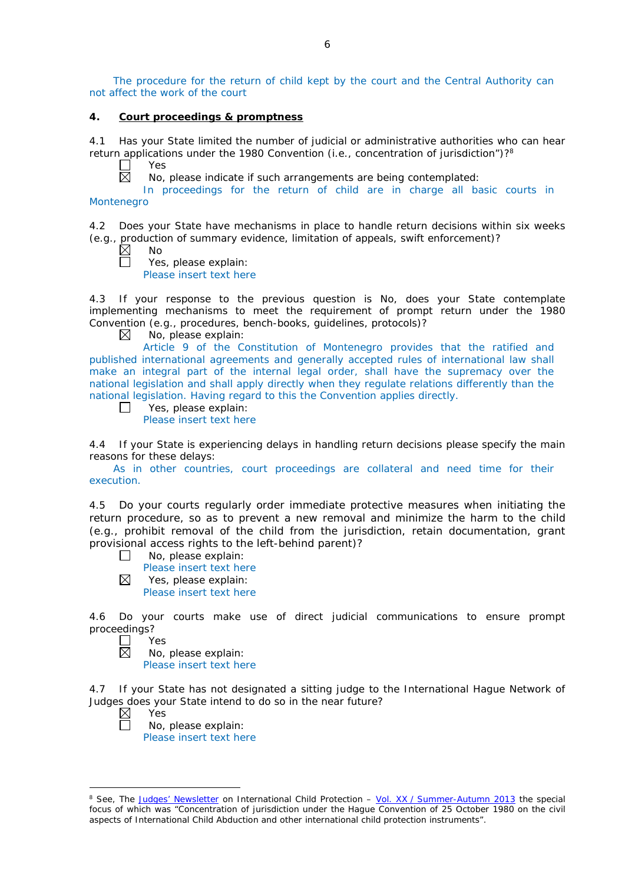The procedure for the return of child kept by the court and the Central Authority can not affect the work of the court

#### **4. Court proceedings & promptness**

4.1 Has your State limited the number of judicial or administrative authorities who can hear return applications under the 1980 Convention (*i.e.*, concentration of jurisdiction")?8

Yes  $\boxtimes$ 

No, please indicate if such arrangements are being contemplated:

In proceedings for the return of child are in charge all basic courts in Montenegro

4.2 Does your State have mechanisms in place to handle return decisions within six weeks (*e.g.*, production of summary evidence, limitation of appeals, swift enforcement)?

 $\boxtimes$ No

 $\Box$ 

Yes, please explain: Please insert text here

4.3 If your response to the previous question is No, does your State contemplate implementing mechanisms to meet the requirement of prompt return under the 1980 Convention (*e.g.*, procedures, bench-books, guidelines, protocols)?

 $\boxtimes$ No, please explain:

Article 9 of the Constitution of Montenegro provides that the ratified and published international agreements and generally accepted rules of international law shall make an integral part of the internal legal order, shall have the supremacy over the national legislation and shall apply directly when they regulate relations differently than the national legislation. Having regard to this the Convention applies directly.

Yes, please explain:  $\Box$ 

Please insert text here

4.4 If your State is experiencing delays in handling return decisions please specify the main reasons for these delays:

As in other countries, court proceedings are collateral and need time for their execution.

4.5 Do your courts regularly order immediate protective measures when initiating the return procedure, so as to prevent a new removal and minimize the harm to the child (*e.g.*, prohibit removal of the child from the jurisdiction, retain documentation, grant provisional access rights to the left-behind parent)?

No, please explain:  $\Box$ 

Please insert text here

 $\boxtimes$ Yes, please explain: Please insert text here

4.6 Do your courts make use of direct judicial communications to ensure prompt proceedings?<br>N∪ D

Yes 反

No, please explain: Please insert text here

4.7 If your State has not designated a sitting judge to the International Hague Network of Judges does your State intend to do so in the near future?<br>  $\boxtimes$  Yes<br>  $\Box$  No, please explain:

Yes

-

No, please explain: Please insert text here

<sup>8</sup> See, *The [Judges' Newsletter](https://www.hcch.net/en/instruments/conventions/publications2/judges-newsletter)* on International Child Protection – Vol. XX / [Summer-Autumn 2013](https://assets.hcch.net/upload/newsletter/nl2013tome20en.pdf) the special focus of which was "Concentration of jurisdiction under the *Hague Convention of 25 October 1980 on the civil aspects of International Child Abduction* and other international child protection instruments".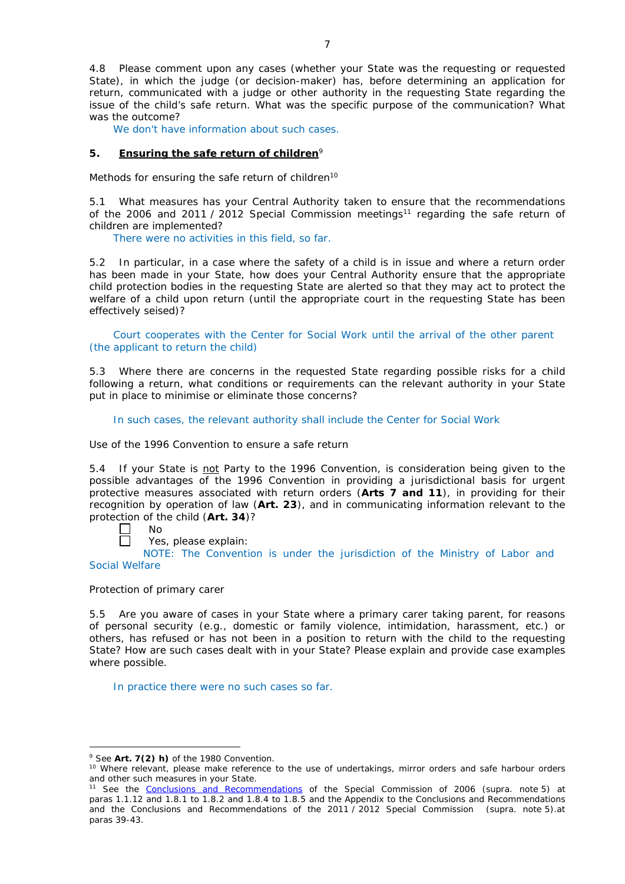4.8 Please comment upon any cases (whether your State was the requesting or requested State), in which the judge (or decision-maker) has, before determining an application for return, communicated with a judge or other authority in the requesting State regarding the issue of the child's safe return. What was the specific purpose of the communication? What was the outcome?

We don't have information about such cases.

#### **5. Ensuring the safe return of children**<sup>9</sup>

*Methods for ensuring the safe return of children*<sup>10</sup>

5.1 What measures has your Central Authority taken to ensure that the recommendations of the 2006 and 2011 / 2012 Special Commission meetings<sup>11</sup> regarding the safe return of children are implemented?

There were no activities in this field, so far.

5.2 In particular, in a case where the safety of a child is in issue and where a return order has been made in your State, how does your Central Authority ensure that the appropriate child protection bodies in the *requesting* State are alerted so that they may act to protect the welfare of a child upon return (until the appropriate court in the requesting State has been effectively seised)?

Court cooperates with the Center for Social Work until the arrival of the other parent (the applicant to return the child)

5.3 Where there are concerns in the requested State regarding possible risks for a child following a return, what conditions or requirements can the relevant authority in your State put in place to minimise or eliminate those concerns?

In such cases, the relevant authority shall include the Center for Social Work

*Use of the 1996 Convention to ensure a safe return*

5.4 If your State is not Party to the 1996 Convention, is consideration being given to the possible advantages of the 1996 Convention in providing a jurisdictional basis for urgent protective measures associated with return orders (**Arts 7 and 11**), in providing for their recognition by operation of law (**Art. 23**), and in communicating information relevant to the protection of the child (**Art. 34**)?

No

<u>.</u>

Yes, please explain:

NOTE: The Convention is under the jurisdiction of the Ministry of Labor and Social Welfare

*Protection of primary carer*

5.5 Are you aware of cases in your State where a primary carer taking parent, for reasons of personal security (*e.g.*, domestic or family violence, intimidation, harassment, etc.) or others, has refused or has not been in a position to return with the child to the requesting State? How are such cases dealt with in your State? Please explain and provide case examples where possible.

In practice there were no such cases so far.

<sup>9</sup> See **Art. 7(2)** *h)* of the 1980 Convention.

<sup>10</sup> Where relevant, please make reference to the use of undertakings, mirror orders and safe harbour orders and other such measures in your State.

<sup>11</sup> See the [Conclusions and Recommendations](https://assets.hcch.net/upload/concl28sc5_e.pdf) of the Special Commission of 2006 (*supra.* note 5) at paras 1.1.12 and 1.8.1 to 1.8.2 and 1.8.4 to 1.8.5 and the Appendix to the Conclusions and Recommendations and the [Conclusions and Recommendations of the 2011](https://assets.hcch.net/upload/wop/concl28sc6_e.pdf) / 2012 Special Commission (*supra.* note 5).at paras 39-43.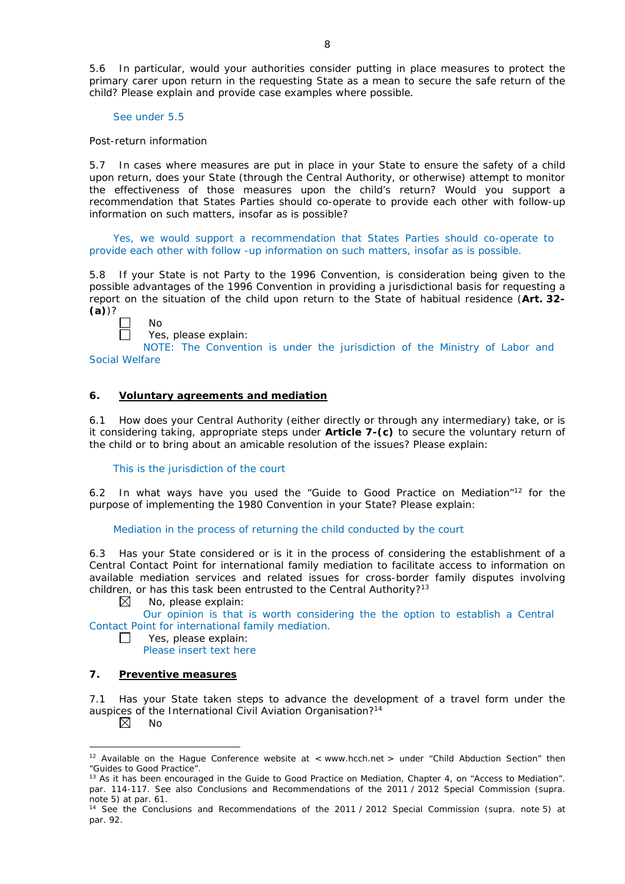5.6 In particular, would your authorities consider putting in place measures to protect the primary carer upon return in the requesting State as a mean to secure the safe return of the child? Please explain and provide case examples where possible.

See under 5.5

#### *Post-return information*

5.7 In cases where measures are put in place in your State to ensure the safety of a child upon return, does your State (through the Central Authority, or otherwise) attempt to monitor the effectiveness of those measures upon the child's return? Would you support a recommendation that States Parties should co-operate to provide each other with follow-up information on such matters, insofar as is possible?

Yes, we would support a recommendation that States Parties should co-operate to provide each other with follow -up information on such matters, insofar as is possible.

5.8 If your State is not Party to the 1996 Convention, is consideration being given to the possible advantages of the 1996 Convention in providing a jurisdictional basis for requesting a report on the situation of the child upon return to the State of habitual residence (**Art. 32- (a)**)?



No Yes, please explain:

NOTE: The Convention is under the jurisdiction of the Ministry of Labor and Social Welfare

## **6. Voluntary agreements and mediation**

6.1 How does your Central Authority (either directly or through any intermediary) take, or is it considering taking, appropriate steps under **Article 7-(c)** to secure the voluntary return of the child or to bring about an amicable resolution of the issues? Please explain:

#### This is the jurisdiction of the court

6.2 In what ways have you used the "Guide to Good Practice on Mediation"12 for the purpose of implementing the 1980 Convention in your State? Please explain:

#### Mediation in the process of returning the child conducted by the court

6.3 Has your State considered or is it in the process of considering the establishment of a Central Contact Point for international family mediation to facilitate access to information on available mediation services and related issues for cross-border family disputes involving children, or has this task been entrusted to the Central Authority?<sup>13</sup>

 $\boxtimes$ No, please explain:

Our opinion is that is worth considering the the option to establish a Central Contact Point for international family mediation.

Yes, please explain:

Please insert text here

### **7. Preventive measures**

7.1 Has your State taken steps to advance the development of a travel form under the auspices of the International Civil Aviation Organisation?<sup>14</sup>

 $\boxtimes$ No

 $\mathbf{1}$ 

<u>.</u>

<sup>&</sup>lt;sup>12</sup> Available on the Hague Conference website at < www.hcch.net > under "Child Abduction Section" then "Guides to Good Practice".

<sup>&</sup>lt;sup>13</sup> As it has been encouraged in the Guide to Good Practice on Mediation, Chapter 4, on "Access to Mediation". par. 114-117. See also [Conclusions and Recommendations of the 2011](https://assets.hcch.net/upload/wop/concl28sc6_e.pdf) / 2012 Special Commission (*supra.* note 5) at par. 61.

<sup>14</sup> See the [Conclusions and Recommendations of the 2011](https://assets.hcch.net/upload/wop/concl28sc6_e.pdf) / 2012 Special Commission (*supra.* note 5) at par. 92.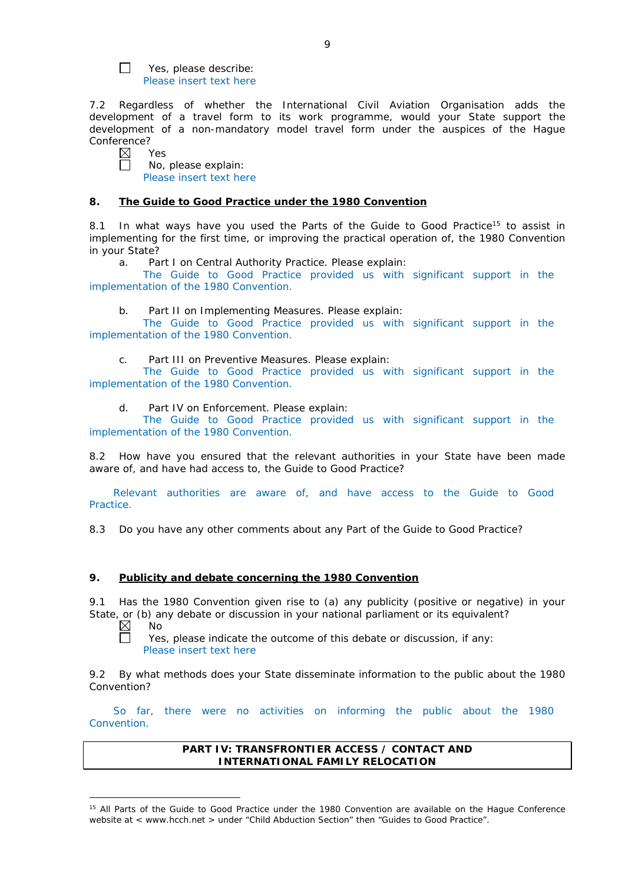Yes, please describe: Please insert text here

7.2 Regardless of whether the International Civil Aviation Organisation adds the development of a travel form to its work programme, would your State support the development of a non-mandatory model travel form under the auspices of the Hague Conference?

 $\boxtimes$ Yes П

 $\Box$ 

No, please explain: Please insert text here

#### **8. The Guide to Good Practice under the 1980 Convention**

8.1 In what ways have you used the Parts of the Guide to Good Practice<sup>15</sup> to assist in implementing for the first time, or improving the practical operation of, the 1980 Convention in your State?

a. Part I on Central Authority Practice. Please explain:

The Guide to Good Practice provided us with significant support in the implementation of the 1980 Convention.

b. Part II on Implementing Measures. Please explain:

The Guide to Good Practice provided us with significant support in the implementation of the 1980 Convention.

c. Part III on Preventive Measures. Please explain:

The Guide to Good Practice provided us with significant support in the implementation of the 1980 Convention.

d. Part IV on Enforcement. Please explain:

The Guide to Good Practice provided us with significant support in the implementation of the 1980 Convention.

8.2 How have you ensured that the relevant authorities in your State have been made aware of, and have had access to, the Guide to Good Practice?

Relevant authorities are aware of, and have access to the Guide to Good Practice.

8.3 Do you have any other comments about any Part of the Guide to Good Practice?

### **9. Publicity and debate concerning the 1980 Convention**

9.1 Has the 1980 Convention given rise to (a) any publicity (positive or negative) in your State, or (b) any debate or discussion in your national parliament or its equivalent?<br>  $\boxtimes$  No

No  $\Box$ 

-

Yes, please indicate the outcome of this debate or discussion, if any: Please insert text here

9.2 By what methods does your State disseminate information to the public about the 1980 Convention?

So far, there were no activities on informing the public about the 1980 Convention.

> **PART IV: TRANSFRONTIER ACCESS / CONTACT AND INTERNATIONAL FAMILY RELOCATION**

<sup>&</sup>lt;sup>15</sup> All Parts of the Guide to Good Practice under the 1980 Convention are available on the Hague Conference website at < www.hcch.net > under "Child Abduction Section" then "Guides to Good Practice".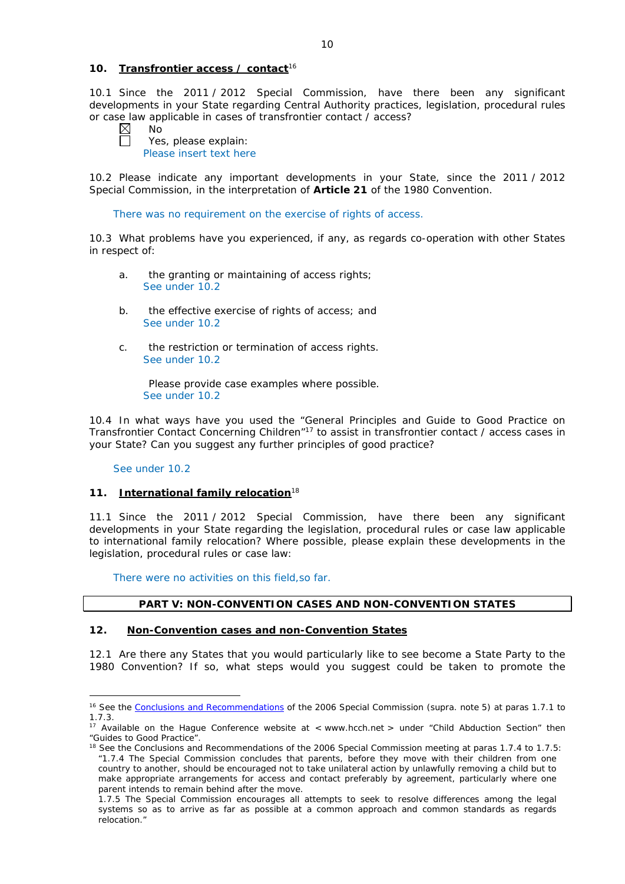### **10. Transfrontier access / contact**<sup>16</sup>

10.1 Since the 2011 / 2012 Special Commission, have there been any significant developments in your State regarding Central Authority practices, legislation, procedural rules or case law applicable in cases of transfrontier contact / access?

 $\boxtimes$  $\Box$ 

No

Yes, please explain: Please insert text here

10.2 Please indicate any important developments in your State, since the 2011 / 2012 Special Commission, in the interpretation of **Article 21** of the 1980 Convention.

There was no requirement on the exercise of rights of access.

10.3 What problems have you experienced, if any, as regards co-operation with other States in respect of:

- a. the granting or maintaining of access rights; See under 10.2
- b. the effective exercise of rights of access; and See under 10.2
- c. the restriction or termination of access rights. See under 10.2

Please provide case examples where possible. See under 10.2

10.4 In what ways have you used the "General Principles and Guide to Good Practice on Transfrontier Contact Concerning Children"17 to assist in transfrontier contact / access cases in your State? Can you suggest any further principles of good practice?

#### See under 10.2

<u>.</u>

### **11. International family relocation**<sup>18</sup>

11.1 Since the 2011 / 2012 Special Commission, have there been any significant developments in your State regarding the legislation, procedural rules or case law applicable to international family relocation? Where possible, please explain these developments in the legislation, procedural rules or case law:

There were no activities on this field,so far.

### **PART V: NON-CONVENTION CASES AND NON-CONVENTION STATES**

### **12. Non-Convention cases and non-Convention States**

12.1 Are there any States that you would particularly like to see become a State Party to the 1980 Convention? If so, what steps would you suggest could be taken to promote the

<sup>16</sup> See the [Conclusions and Recommendations](https://assets.hcch.net/upload/concl28sc5_e.pdf) of the 2006 Special Commission (*supra.* note 5) at paras 1.7.1 to 1.7.3.

<sup>&</sup>lt;sup>17</sup> Available on the Hague Conference website at < www.hcch.net > under "Child Abduction Section" then "Guides to Good Practice".

<sup>&</sup>lt;sup>18</sup> See the Conclusions and Recommendations of the 2006 Special Commission meeting at paras 1.7.4 to 1.7.5: *"*1.7.4 The Special Commission concludes that parents, before they move with their children from one country to another, should be encouraged not to take unilateral action by unlawfully removing a child but to make appropriate arrangements for access and contact preferably by agreement, particularly where one parent intends to remain behind after the move.

<sup>1.7.5</sup> The Special Commission encourages all attempts to seek to resolve differences among the legal systems so as to arrive as far as possible at a common approach and common standards as regards relocation."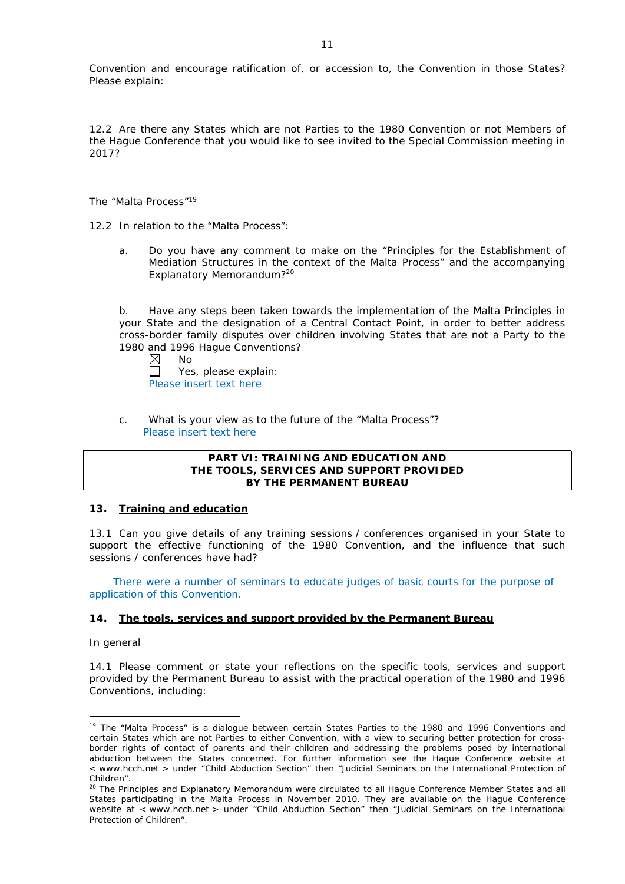Convention and encourage ratification of, or accession to, the Convention in those States? Please explain:

12.2 Are there any States which are not Parties to the 1980 Convention or not Members of the Hague Conference that you would like to see invited to the Special Commission meeting in 2017?

*The "Malta Process"*<sup>19</sup>

12.2 In relation to the "Malta Process":

a. Do you have any comment to make on the "Principles for the Establishment of Mediation Structures in the context of the Malta Process" and the accompanying Explanatory Memorandum?20

b. Have any steps been taken towards the implementation of the Malta Principles in your State and the designation of a Central Contact Point, in order to better address cross-border family disputes over children involving States that are not a Party to the 1980 and 1996 Hague Conventions?

 $\boxtimes$ No Yes, please explain: Please insert text here

c. What is your view as to the future of the "Malta Process"? Please insert text here

### **PART VI: TRAINING AND EDUCATION AND THE TOOLS, SERVICES AND SUPPORT PROVIDED BY THE PERMANENT BUREAU**

### **13. Training and education**

13.1 Can you give details of any training sessions / conferences organised in your State to support the effective functioning of the 1980 Convention, and the influence that such sessions / conferences have had?

There were a number of seminars to educate judges of basic courts for the purpose of application of this Convention.

### **14. The tools, services and support provided by the Permanent Bureau**

*In general*

<u>.</u>

14.1 Please comment or state your reflections on the specific tools, services and support provided by the Permanent Bureau to assist with the practical operation of the 1980 and 1996 Conventions, including:

<sup>&</sup>lt;sup>19</sup> The "Malta Process" is a dialogue between certain States Parties to the 1980 and 1996 Conventions and certain States which are not Parties to either Convention, with a view to securing better protection for crossborder rights of contact of parents and their children and addressing the problems posed by international abduction between the States concerned. For further information see the Hague Conference website at < www.hcch.net > under "Child Abduction Section" then "Judicial Seminars on the International Protection of Children".

<sup>20</sup> The Principles and Explanatory Memorandum were circulated to all Hague Conference Member States and all States participating in the Malta Process in November 2010. They are available on the Hague Conference website at < www.hcch.net > under "Child Abduction Section" then "Judicial Seminars on the International Protection of Children".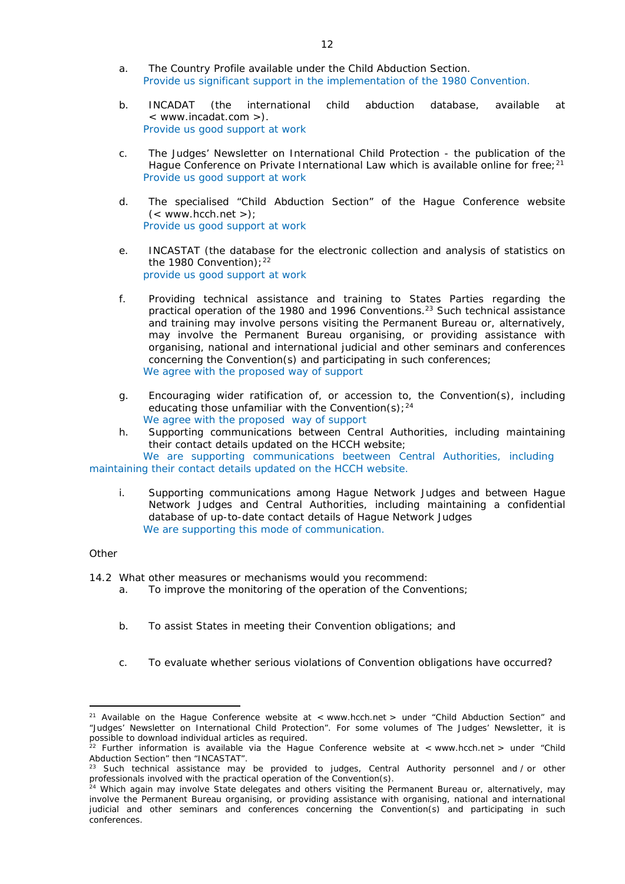- a. The Country Profile available under the Child Abduction Section. Provide us significant support in the implementation of the 1980 Convention.
- b. INCADAT (the international child abduction database, available at < www.incadat.com >). Provide us good support at work
- c. *The Judges' Newsletter* on International Child Protection the publication of the Hague Conference on Private International Law which is available online for free;<sup>21</sup> Provide us good support at work
- d. The specialised "Child Abduction Section" of the Hague Conference website  $(<$  www.hcch.net >); Provide us good support at work
- e. INCASTAT (the database for the electronic collection and analysis of statistics on the 1980 Convention):  $22$ provide us good support at work
- f. Providing technical assistance and training to States Parties regarding the practical operation of the 1980 and 1996 Conventions.23 Such technical assistance and training may involve persons visiting the Permanent Bureau or, alternatively, may involve the Permanent Bureau organising, or providing assistance with organising, national and international judicial and other seminars and conferences concerning the Convention(s) and participating in such conferences; We agree with the proposed way of support
- g. Encouraging wider ratification of, or accession to, the Convention(s), including educating those unfamiliar with the Convention(s);  $24$ We agree with the proposed way of support
- h. Supporting communications between Central Authorities, including maintaining their contact details updated on the HCCH website;

We are supporting communications beetween Central Authorities, including maintaining their contact details updated on the HCCH website.

i. Supporting communications among Hague Network Judges and between Hague Network Judges and Central Authorities, including maintaining a confidential database of up-to-date contact details of Hague Network Judges We are supporting this mode of communication.

### *Other*

<u>.</u>

14.2 What other measures or mechanisms would you recommend:

- a. To improve the monitoring of the operation of the Conventions;
- b. To assist States in meeting their Convention obligations; and
- c. To evaluate whether serious violations of Convention obligations have occurred?

<sup>&</sup>lt;sup>21</sup> Available on the Hague Conference website at < www.hcch.net > under "Child Abduction Section" and "Judges' Newsletter on International Child Protection". For some volumes of *The Judges' Newsletter*, it is possible to download individual articles as required.

<sup>&</sup>lt;sup>22</sup> Further information is available via the Hague Conference website at < www.hcch.net > under "Child Abduction Section" then "INCASTAT".

Such technical assistance may be provided to judges, Central Authority personnel and / or other professionals involved with the practical operation of the Convention(s).

<sup>&</sup>lt;sup>24</sup> Which again may involve State delegates and others visiting the Permanent Bureau or, alternatively, may involve the Permanent Bureau organising, or providing assistance with organising, national and international judicial and other seminars and conferences concerning the Convention(s) and participating in such conferences.